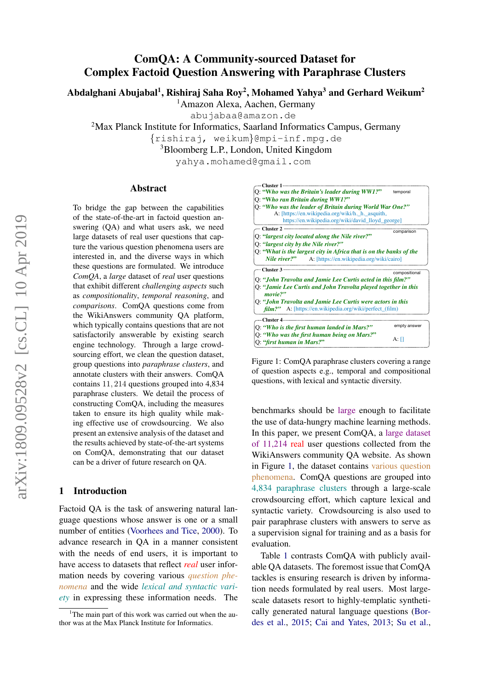# ComQA: A Community-sourced Dataset for Complex Factoid Question Answering with Paraphrase Clusters

Abdalghani Abujabal<sup>1</sup>, Rishiraj Saha Roy<sup>2</sup>, Mohamed Yahya<sup>3</sup> and Gerhard Weikum<sup>2</sup>

<sup>1</sup>Amazon Alexa, Aachen, Germany

abujabaa@amazon.de

<sup>2</sup>Max Planck Institute for Informatics, Saarland Informatics Campus, Germany

{rishiraj, weikum}@mpi-inf.mpg.de

<sup>3</sup>Bloomberg L.P., London, United Kingdom

yahya.mohamed@gmail.com

#### Abstract

To bridge the gap between the capabilities of the state-of-the-art in factoid question answering (QA) and what users ask, we need large datasets of real user questions that capture the various question phenomena users are interested in, and the diverse ways in which these questions are formulated. We introduce *ComQA*, a *large* dataset of *real* user questions that exhibit different *challenging aspects* such as *compositionality*, *temporal reasoning*, and *comparisons*. ComQA questions come from the WikiAnswers community QA platform, which typically contains questions that are not satisfactorily answerable by existing search engine technology. Through a large crowdsourcing effort, we clean the question dataset, group questions into *paraphrase clusters*, and annotate clusters with their answers. ComQA contains 11, 214 questions grouped into 4,834 paraphrase clusters. We detail the process of constructing ComQA, including the measures taken to ensure its high quality while making effective use of crowdsourcing. We also present an extensive analysis of the dataset and the results achieved by state-of-the-art systems on ComQA, demonstrating that our dataset can be a driver of future research on QA.

# 1 Introduction

Factoid QA is the task of answering natural language questions whose answer is one or a small number of entities [\(Voorhees and Tice,](#page-10-0) [2000\)](#page-10-0). To advance research in QA in a manner consistent with the needs of end users, it is important to have access to datasets that reflect *real* user information needs by covering various *question phenomena* and the wide *lexical and syntactic variety* in expressing these information needs. The

<span id="page-0-0"></span>

Figure 1: ComQA paraphrase clusters covering a range of question aspects e.g., temporal and compositional questions, with lexical and syntactic diversity.

benchmarks should be large enough to facilitate the use of data-hungry machine learning methods. In this paper, we present ComQA, a large dataset of 11,214 real user questions collected from the WikiAnswers community QA website. As shown in Figure [1,](#page-0-0) the dataset contains various question phenomena. ComQA questions are grouped into 4,834 paraphrase clusters through a large-scale crowdsourcing effort, which capture lexical and syntactic variety. Crowdsourcing is also used to pair paraphrase clusters with answers to serve as a supervision signal for training and as a basis for evaluation.

Table [1](#page-1-0) contrasts ComQA with publicly available QA datasets. The foremost issue that ComQA tackles is ensuring research is driven by information needs formulated by real users. Most largescale datasets resort to highly-templatic synthetically generated natural language questions [\(Bor](#page-8-0)[des et al.,](#page-8-0) [2015;](#page-8-0) [Cai and Yates,](#page-9-0) [2013;](#page-9-0) [Su et al.,](#page-9-1)

<sup>&</sup>lt;sup>1</sup>The main part of this work was carried out when the author was at the Max Planck Institute for Informatics.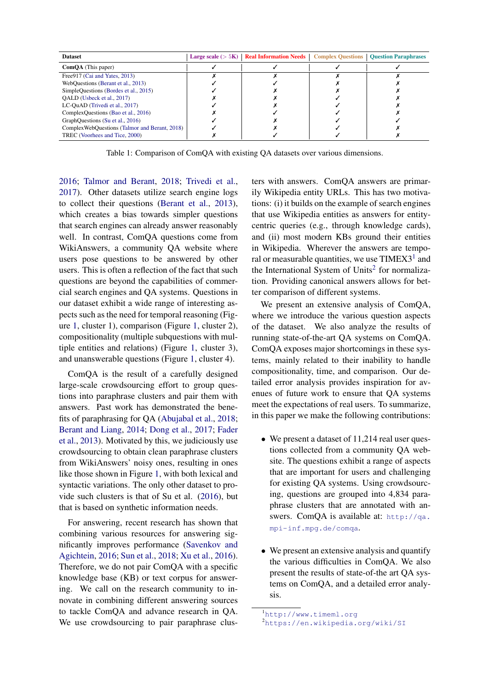<span id="page-1-0"></span>

| <b>Dataset</b>                                 | Large scale $(>5K)$   Real Information Needs | <b>Complex Questions   Question Paraphrases</b> |
|------------------------------------------------|----------------------------------------------|-------------------------------------------------|
| <b>ComQA</b> (This paper)                      |                                              |                                                 |
| Free 917 (Cai and Yates, 2013)                 |                                              |                                                 |
| WebQuestions (Berant et al., 2013)             |                                              |                                                 |
| SimpleQuestions (Bordes et al., 2015)          |                                              |                                                 |
| OALD (Usbeck et al., 2017)                     |                                              |                                                 |
| LC-QuAD (Trivedi et al., 2017)                 |                                              |                                                 |
| ComplexQuestions (Bao et al., 2016)            |                                              |                                                 |
| GraphQuestions (Su et al., 2016)               |                                              |                                                 |
| Complex WebQuestions (Talmor and Berant, 2018) |                                              |                                                 |
| TREC (Voorhees and Tice, 2000)                 |                                              |                                                 |

Table 1: Comparison of ComQA with existing QA datasets over various dimensions.

[2016;](#page-9-1) [Talmor and Berant,](#page-10-3) [2018;](#page-10-3) [Trivedi et al.,](#page-10-2) [2017\)](#page-10-2). Other datasets utilize search engine logs to collect their questions [\(Berant et al.,](#page-8-1) [2013\)](#page-8-1), which creates a bias towards simpler questions that search engines can already answer reasonably well. In contrast, ComQA questions come from WikiAnswers, a community QA website where users pose questions to be answered by other users. This is often a reflection of the fact that such questions are beyond the capabilities of commercial search engines and QA systems. Questions in our dataset exhibit a wide range of interesting aspects such as the need for temporal reasoning (Figure [1,](#page-0-0) cluster 1), comparison (Figure [1,](#page-0-0) cluster 2), compositionality (multiple subquestions with multiple entities and relations) (Figure [1,](#page-0-0) cluster 3), and unanswerable questions (Figure [1,](#page-0-0) cluster 4).

ComQA is the result of a carefully designed large-scale crowdsourcing effort to group questions into paraphrase clusters and pair them with answers. Past work has demonstrated the benefits of paraphrasing for QA [\(Abujabal et al.,](#page-8-3) [2018;](#page-8-3) [Berant and Liang,](#page-8-4) [2014;](#page-8-4) [Dong et al.,](#page-9-2) [2017;](#page-9-2) [Fader](#page-9-3) [et al.,](#page-9-3) [2013\)](#page-9-3). Motivated by this, we judiciously use crowdsourcing to obtain clean paraphrase clusters from WikiAnswers' noisy ones, resulting in ones like those shown in Figure [1,](#page-0-0) with both lexical and syntactic variations. The only other dataset to provide such clusters is that of Su et al. [\(2016\)](#page-9-1), but that is based on synthetic information needs.

For answering, recent research has shown that combining various resources for answering significantly improves performance [\(Savenkov and](#page-9-4) [Agichtein,](#page-9-4) [2016;](#page-9-4) [Sun et al.,](#page-9-5) [2018;](#page-9-5) [Xu et al.,](#page-10-4) [2016\)](#page-10-4). Therefore, we do not pair ComQA with a specific knowledge base (KB) or text corpus for answering. We call on the research community to innovate in combining different answering sources to tackle ComQA and advance research in QA. We use crowdsourcing to pair paraphrase clusters with answers. ComQA answers are primarily Wikipedia entity URLs. This has two motivations: (i) it builds on the example of search engines that use Wikipedia entities as answers for entitycentric queries (e.g., through knowledge cards), and (ii) most modern KBs ground their entities in Wikipedia. Wherever the answers are temporal or measurable quantities, we use  $TIMEX3<sup>1</sup>$  $TIMEX3<sup>1</sup>$  $TIMEX3<sup>1</sup>$  and the International System of Units<sup>[2](#page-1-2)</sup> for normalization. Providing canonical answers allows for better comparison of different systems.

We present an extensive analysis of ComQA, where we introduce the various question aspects of the dataset. We also analyze the results of running state-of-the-art QA systems on ComQA. ComQA exposes major shortcomings in these systems, mainly related to their inability to handle compositionality, time, and comparison. Our detailed error analysis provides inspiration for avenues of future work to ensure that QA systems meet the expectations of real users. To summarize, in this paper we make the following contributions:

- We present a dataset of 11,214 real user questions collected from a community QA website. The questions exhibit a range of aspects that are important for users and challenging for existing QA systems. Using crowdsourcing, questions are grouped into 4,834 paraphrase clusters that are annotated with answers. ComQA is available at: [http://qa.](http://qa.mpi-inf.mpg.de/comqa) [mpi-inf.mpg.de/comqa](http://qa.mpi-inf.mpg.de/comqa).
- We present an extensive analysis and quantify the various difficulties in ComQA. We also present the results of state-of-the art QA systems on ComQA, and a detailed error analysis.

<span id="page-1-1"></span><sup>1</sup><http://www.timeml.org>

<span id="page-1-2"></span><sup>2</sup><https://en.wikipedia.org/wiki/SI>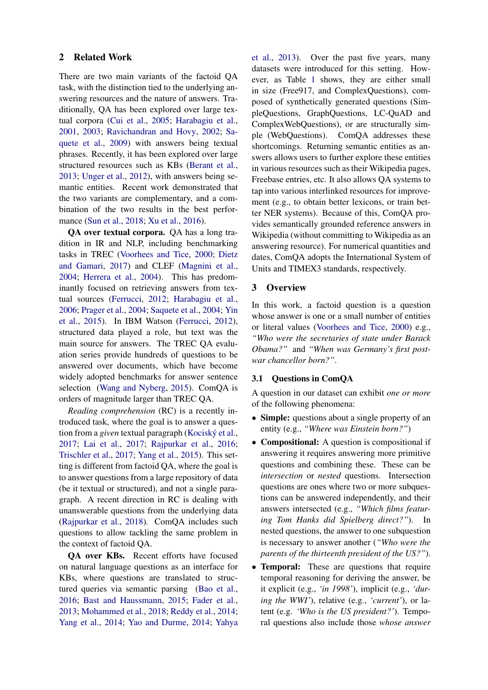# 2 Related Work

There are two main variants of the factoid QA task, with the distinction tied to the underlying answering resources and the nature of answers. Traditionally, QA has been explored over large textual corpora [\(Cui et al.,](#page-9-6) [2005;](#page-9-6) [Harabagiu et al.,](#page-9-7) [2001,](#page-9-7) [2003;](#page-9-8) [Ravichandran and Hovy,](#page-9-9) [2002;](#page-9-9) [Sa](#page-9-10)[quete et al.,](#page-9-10) [2009\)](#page-9-10) with answers being textual phrases. Recently, it has been explored over large structured resources such as KBs [\(Berant et al.,](#page-8-1) [2013;](#page-8-1) [Unger et al.,](#page-10-5) [2012\)](#page-10-5), with answers being semantic entities. Recent work demonstrated that the two variants are complementary, and a combination of the two results in the best performance [\(Sun et al.,](#page-9-5) [2018;](#page-9-5) [Xu et al.,](#page-10-4) [2016\)](#page-10-4).

QA over textual corpora. QA has a long tradition in IR and NLP, including benchmarking tasks in TREC [\(Voorhees and Tice,](#page-10-0) [2000;](#page-10-0) [Dietz](#page-9-11) [and Gamari,](#page-9-11) [2017\)](#page-9-11) and CLEF [\(Magnini et al.,](#page-9-12) [2004;](#page-9-12) [Herrera et al.,](#page-9-13) [2004\)](#page-9-13). This has predominantly focused on retrieving answers from textual sources [\(Ferrucci,](#page-9-14) [2012;](#page-9-14) [Harabagiu et al.,](#page-9-15) [2006;](#page-9-15) [Prager et al.,](#page-9-16) [2004;](#page-9-16) [Saquete et al.,](#page-9-17) [2004;](#page-9-17) [Yin](#page-10-6) [et al.,](#page-10-6) [2015\)](#page-10-6). In IBM Watson [\(Ferrucci,](#page-9-14) [2012\)](#page-9-14), structured data played a role, but text was the main source for answers. The TREC QA evaluation series provide hundreds of questions to be answered over documents, which have become widely adopted benchmarks for answer sentence selection [\(Wang and Nyberg,](#page-10-7) [2015\)](#page-10-7). ComQA is orders of magnitude larger than TREC QA.

*Reading comprehension* (RC) is a recently introduced task, where the goal is to answer a question from a *given* textual paragraph (Kociský et al., [2017;](#page-9-18) [Lai et al.,](#page-9-19) [2017;](#page-9-19) [Rajpurkar et al.,](#page-9-20) [2016;](#page-9-20) [Trischler et al.,](#page-10-8) [2017;](#page-10-8) [Yang et al.,](#page-10-9) [2015\)](#page-10-9). This setting is different from factoid QA, where the goal is to answer questions from a large repository of data (be it textual or structured), and not a single paragraph. A recent direction in RC is dealing with unanswerable questions from the underlying data [\(Rajpurkar et al.,](#page-9-21) [2018\)](#page-9-21). ComQA includes such questions to allow tackling the same problem in the context of factoid QA.

QA over KBs. Recent efforts have focused on natural language questions as an interface for KBs, where questions are translated to structured queries via semantic parsing [\(Bao et al.,](#page-8-2) [2016;](#page-8-2) [Bast and Haussmann,](#page-8-5) [2015;](#page-8-5) [Fader et al.,](#page-9-3) [2013;](#page-9-3) [Mohammed et al.,](#page-9-22) [2018;](#page-9-22) [Reddy et al.,](#page-9-23) [2014;](#page-9-23) [Yang et al.,](#page-10-10) [2014;](#page-10-10) [Yao and Durme,](#page-10-11) [2014;](#page-10-11) [Yahya](#page-10-12) [et al.,](#page-10-12) [2013\)](#page-10-12). Over the past five years, many datasets were introduced for this setting. However, as Table [1](#page-1-0) shows, they are either small in size (Free917, and ComplexQuestions), composed of synthetically generated questions (SimpleQuestions, GraphQuestions, LC-QuAD and ComplexWebQuestions), or are structurally simple (WebQuestions). ComQA addresses these shortcomings. Returning semantic entities as answers allows users to further explore these entities in various resources such as their Wikipedia pages, Freebase entries, etc. It also allows QA systems to tap into various interlinked resources for improvement (e.g., to obtain better lexicons, or train better NER systems). Because of this, ComQA provides semantically grounded reference answers in Wikipedia (without committing to Wikipedia as an answering resource). For numerical quantities and dates, ComQA adopts the International System of Units and TIMEX3 standards, respectively.

#### 3 Overview

In this work, a factoid question is a question whose answer is one or a small number of entities or literal values [\(Voorhees and Tice,](#page-10-0) [2000\)](#page-10-0) e.g., *"Who were the secretaries of state under Barack Obama?"* and *"When was Germany's first postwar chancellor born?"*.

#### 3.1 Questions in ComQA

A question in our dataset can exhibit *one or more* of the following phenomena:

- Simple: questions about a single property of an entity (e.g., *"Where was Einstein born?"*)
- Compositional: A question is compositional if answering it requires answering more primitive questions and combining these. These can be *intersection* or *nested* questions. Intersection questions are ones where two or more subquestions can be answered independently, and their answers intersected (e.g., *"Which films featuring Tom Hanks did Spielberg direct?"*). In nested questions, the answer to one subquestion is necessary to answer another (*"Who were the parents of the thirteenth president of the US?"*).
- **Temporal:** These are questions that require temporal reasoning for deriving the answer, be it explicit (e.g., *'in 1998'*), implicit (e.g., *'during the WWI'*), relative (e.g., *'current'*), or latent (e.g. *'Who is the US president?'*). Temporal questions also include those *whose answer*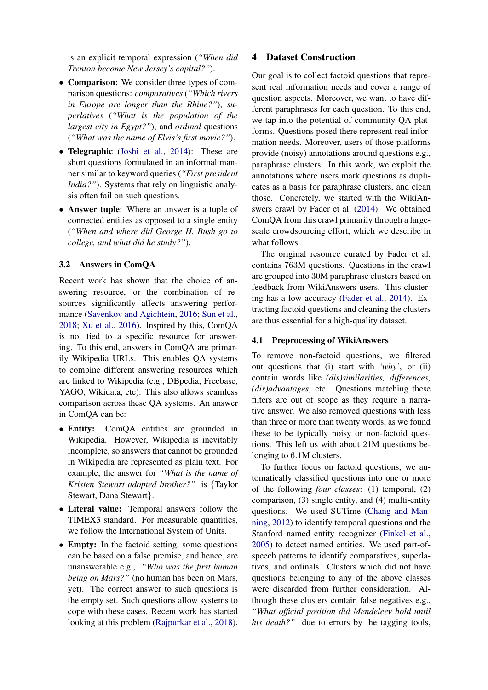is an explicit temporal expression (*"When did Trenton become New Jersey's capital?"*).

- Comparison: We consider three types of comparison questions: *comparatives* (*"Which rivers in Europe are longer than the Rhine?"*), *superlatives* (*"What is the population of the largest city in Egypt?"*), and *ordinal* questions (*"What was the name of Elvis's first movie?"*).
- Telegraphic [\(Joshi et al.,](#page-9-24) [2014\)](#page-9-24): These are short questions formulated in an informal manner similar to keyword queries (*"First president India?"*). Systems that rely on linguistic analysis often fail on such questions.
- Answer tuple: Where an answer is a tuple of connected entities as opposed to a single entity (*"When and where did George H. Bush go to college, and what did he study?"*).

## 3.2 Answers in ComQA

Recent work has shown that the choice of answering resource, or the combination of resources significantly affects answering performance [\(Savenkov and Agichtein,](#page-9-4) [2016;](#page-9-4) [Sun et al.,](#page-9-5) [2018;](#page-9-5) [Xu et al.,](#page-10-4) [2016\)](#page-10-4). Inspired by this, ComQA is not tied to a specific resource for answering. To this end, answers in ComQA are primarily Wikipedia URLs. This enables QA systems to combine different answering resources which are linked to Wikipedia (e.g., DBpedia, Freebase, YAGO, Wikidata, etc). This also allows seamless comparison across these QA systems. An answer in ComQA can be:

- Entity: ComQA entities are grounded in Wikipedia. However, Wikipedia is inevitably incomplete, so answers that cannot be grounded in Wikipedia are represented as plain text. For example, the answer for *"What is the name of Kristen Stewart adopted brother?"* is {Taylor Stewart, Dana Stewart}.
- Literal value: Temporal answers follow the TIMEX3 standard. For measurable quantities, we follow the International System of Units.
- **Empty:** In the factoid setting, some questions can be based on a false premise, and hence, are unanswerable e.g., *"Who was the first human being on Mars?"* (no human has been on Mars, yet). The correct answer to such questions is the empty set. Such questions allow systems to cope with these cases. Recent work has started looking at this problem [\(Rajpurkar et al.,](#page-9-21) [2018\)](#page-9-21).

### 4 Dataset Construction

Our goal is to collect factoid questions that represent real information needs and cover a range of question aspects. Moreover, we want to have different paraphrases for each question. To this end, we tap into the potential of community QA platforms. Questions posed there represent real information needs. Moreover, users of those platforms provide (noisy) annotations around questions e.g., paraphrase clusters. In this work, we exploit the annotations where users mark questions as duplicates as a basis for paraphrase clusters, and clean those. Concretely, we started with the WikiAnswers crawl by Fader et al. [\(2014\)](#page-9-25). We obtained ComQA from this crawl primarily through a largescale crowdsourcing effort, which we describe in what follows.

The original resource curated by Fader et al. contains 763M questions. Questions in the crawl are grouped into 30M paraphrase clusters based on feedback from WikiAnswers users. This clustering has a low accuracy [\(Fader et al.,](#page-9-25) [2014\)](#page-9-25). Extracting factoid questions and cleaning the clusters are thus essential for a high-quality dataset.

#### 4.1 Preprocessing of WikiAnswers

To remove non-factoid questions, we filtered out questions that (i) start with *'why'*, or (ii) contain words like *(dis)similarities, differences, (dis)advantages*, etc. Questions matching these filters are out of scope as they require a narrative answer. We also removed questions with less than three or more than twenty words, as we found these to be typically noisy or non-factoid questions. This left us with about 21M questions belonging to 6.1M clusters.

To further focus on factoid questions, we automatically classified questions into one or more of the following *four classes*: (1) temporal, (2) comparison, (3) single entity, and (4) multi-entity questions. We used SUTime [\(Chang and Man](#page-9-26)[ning,](#page-9-26) [2012\)](#page-9-26) to identify temporal questions and the Stanford named entity recognizer [\(Finkel et al.,](#page-9-27) [2005\)](#page-9-27) to detect named entities. We used part-ofspeech patterns to identify comparatives, superlatives, and ordinals. Clusters which did not have questions belonging to any of the above classes were discarded from further consideration. Although these clusters contain false negatives e.g., *"What official position did Mendeleev hold until his death?"* due to errors by the tagging tools,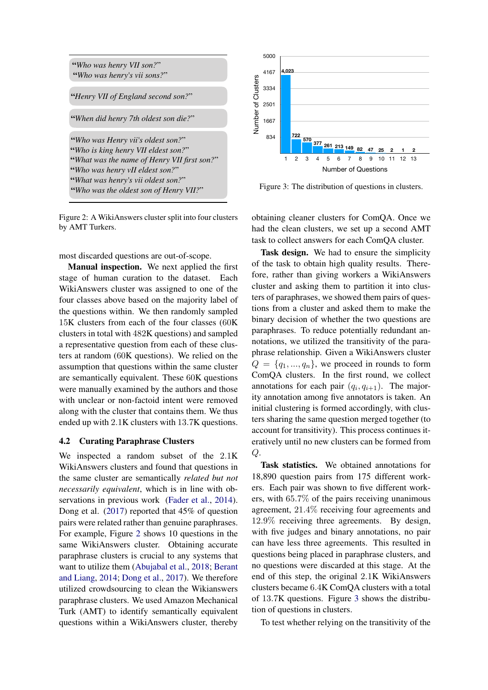<span id="page-4-0"></span>

Figure 2: A WikiAnswers cluster split into four clusters by AMT Turkers.

most discarded questions are out-of-scope.

Manual inspection. We next applied the first stage of human curation to the dataset. Each WikiAnswers cluster was assigned to one of the four classes above based on the majority label of the questions within. We then randomly sampled 15K clusters from each of the four classes (60K clusters in total with 482K questions) and sampled a representative question from each of these clusters at random (60K questions). We relied on the assumption that questions within the same cluster are semantically equivalent. These 60K questions were manually examined by the authors and those with unclear or non-factoid intent were removed along with the cluster that contains them. We thus ended up with 2.1K clusters with 13.7K questions.

#### 4.2 Curating Paraphrase Clusters

We inspected a random subset of the 2.1K WikiAnswers clusters and found that questions in the same cluster are semantically *related but not necessarily equivalent*, which is in line with observations in previous work [\(Fader et al.,](#page-9-25) [2014\)](#page-9-25). Dong et al. [\(2017\)](#page-9-2) reported that 45% of question pairs were related rather than genuine paraphrases. For example, Figure [2](#page-4-0) shows 10 questions in the same WikiAnswers cluster. Obtaining accurate paraphrase clusters is crucial to any systems that want to utilize them [\(Abujabal et al.,](#page-8-3) [2018;](#page-8-3) [Berant](#page-8-4) [and Liang,](#page-8-4) [2014;](#page-8-4) [Dong et al.,](#page-9-2) [2017\)](#page-9-2). We therefore utilized crowdsourcing to clean the Wikianswers paraphrase clusters. We used Amazon Mechanical Turk (AMT) to identify semantically equivalent with wate heatry solutions with the same of the control<br>
"Henry VII of England second son?"<br>
"Who was Henry vii's oldest son?"<br>
"Who was Henry vii's oldest son?"<br>
"Who was Henry vii's oldest son?"<br>
"Who was Henry VII elde

<span id="page-4-1"></span>

Figure 3: The distribution of questions in clusters.

obtaining cleaner clusters for ComQA. Once we had the clean clusters, we set up a second AMT task to collect answers for each ComQA cluster.

Task design. We had to ensure the simplicity of the task to obtain high quality results. Therefore, rather than giving workers a WikiAnswers cluster and asking them to partition it into clusters of paraphrases, we showed them pairs of questions from a cluster and asked them to make the binary decision of whether the two questions are paraphrases. To reduce potentially redundant annotations, we utilized the transitivity of the paraphrase relationship. Given a WikiAnswers cluster  $Q = \{q_1, ..., q_n\}$ , we proceed in rounds to form ComQA clusters. In the first round, we collect annotations for each pair  $(q_i, q_{i+1})$ . The majority annotation among five annotators is taken. An initial clustering is formed accordingly, with clusters sharing the same question merged together (to account for transitivity). This process continues iteratively until no new clusters can be formed from  $Q$ .

Task statistics. We obtained annotations for 18,890 question pairs from 175 different workers. Each pair was shown to five different workers, with 65.7% of the pairs receiving unanimous agreement, 21.4% receiving four agreements and 12.9% receiving three agreements. By design, with five judges and binary annotations, no pair can have less three agreements. This resulted in questions being placed in paraphrase clusters, and no questions were discarded at this stage. At the end of this step, the original 2.1K WikiAnswers clusters became 6.4K ComQA clusters with a total of 13.7K questions. Figure [3](#page-4-1) shows the distribution of questions in clusters.

To test whether relying on the transitivity of the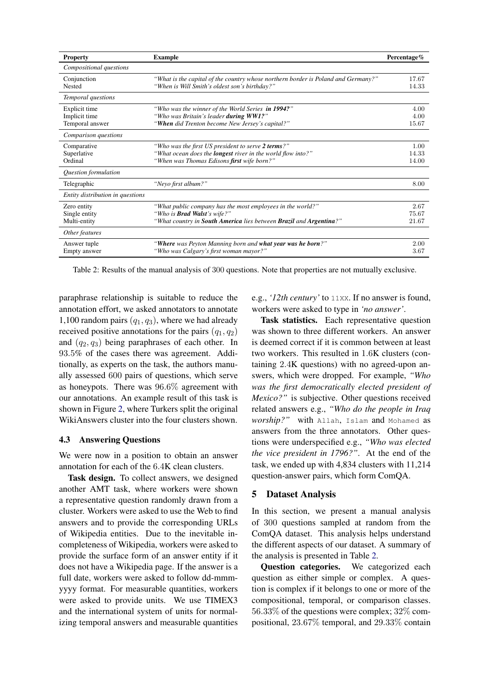<span id="page-5-0"></span>

| <b>Property</b>                                   | <b>Example</b>                                                                                                                                                         | Percentage $%$         |
|---------------------------------------------------|------------------------------------------------------------------------------------------------------------------------------------------------------------------------|------------------------|
| Compositional questions                           |                                                                                                                                                                        |                        |
| Conjunction<br>Nested                             | "What is the capital of the country whose northern border is Poland and Germany?"<br>"When is Will Smith's oldest son's birthday?"                                     | 17.67<br>14.33         |
| Temporal questions                                |                                                                                                                                                                        |                        |
| Explicit time<br>Implicit time<br>Temporal answer | "Who was the winner of the World Series in 1994?"<br>"Who was Britain's leader during WW1?"<br>"When did Trenton become New Jersey's capital?"                         | 4.00<br>4.00<br>15.67  |
| Comparison questions                              |                                                                                                                                                                        |                        |
| Comparative<br>Superlative<br>Ordinal             | "Who was the first US president to serve 2 terms?"<br>"What ocean does the <b>longest</b> river in the world flow into?"<br>"When was Thomas Edisons first wife born?" | 1.00<br>14.33<br>14.00 |
| Question formulation                              |                                                                                                                                                                        |                        |
| Telegraphic                                       | "Neyo first album?"                                                                                                                                                    | 8.00                   |
| Entity distribution in questions                  |                                                                                                                                                                        |                        |
| Zero entity<br>Single entity<br>Multi-entity      | "What public company has the most employees in the world?"<br>"Who is <b>Brad Walst's</b> wife?"<br>"What country in South America lies between Brazil and Argentina?" | 2.67<br>75.67<br>21.67 |
| Other features                                    |                                                                                                                                                                        |                        |
| Answer tuple<br>Empty answer                      | "Where was Peyton Manning born and what year was he born?"<br>"Who was Calgary's first woman mayor?"                                                                   | 2.00<br>3.67           |

Table 2: Results of the manual analysis of 300 questions. Note that properties are not mutually exclusive.

paraphrase relationship is suitable to reduce the annotation effort, we asked annotators to annotate 1,100 random pairs  $(q_1, q_3)$ , where we had already received positive annotations for the pairs  $(q_1, q_2)$ and  $(q_2, q_3)$  being paraphrases of each other. In 93.5% of the cases there was agreement. Additionally, as experts on the task, the authors manually assessed 600 pairs of questions, which serve as honeypots. There was 96.6% agreement with our annotations. An example result of this task is shown in Figure [2,](#page-4-0) where Turkers split the original WikiAnswers cluster into the four clusters shown.

## 4.3 Answering Questions

We were now in a position to obtain an answer annotation for each of the 6.4K clean clusters.

Task design. To collect answers, we designed another AMT task, where workers were shown a representative question randomly drawn from a cluster. Workers were asked to use the Web to find answers and to provide the corresponding URLs of Wikipedia entities. Due to the inevitable incompleteness of Wikipedia, workers were asked to provide the surface form of an answer entity if it does not have a Wikipedia page. If the answer is a full date, workers were asked to follow dd-mmmyyyy format. For measurable quantities, workers were asked to provide units. We use TIMEX3 and the international system of units for normalizing temporal answers and measurable quantities e.g., *'12th century'* to 11XX. If no answer is found, workers were asked to type in *'no answer'*.

Task statistics. Each representative question was shown to three different workers. An answer is deemed correct if it is common between at least two workers. This resulted in 1.6K clusters (containing 2.4K questions) with no agreed-upon answers, which were dropped. For example, *"Who was the first democratically elected president of Mexico?"* is subjective. Other questions received related answers e.g., *"Who do the people in Iraq worship?"* with Allah, Islam and Mohamed as answers from the three annotators. Other questions were underspecified e.g., *"Who was elected the vice president in 1796?"*. At the end of the task, we ended up with 4,834 clusters with 11,214 question-answer pairs, which form ComQA.

## 5 Dataset Analysis

In this section, we present a manual analysis of 300 questions sampled at random from the ComQA dataset. This analysis helps understand the different aspects of our dataset. A summary of the analysis is presented in Table [2.](#page-5-0)

Question categories. We categorized each question as either simple or complex. A question is complex if it belongs to one or more of the compositional, temporal, or comparison classes. 56.33% of the questions were complex; 32% compositional, 23.67% temporal, and 29.33% contain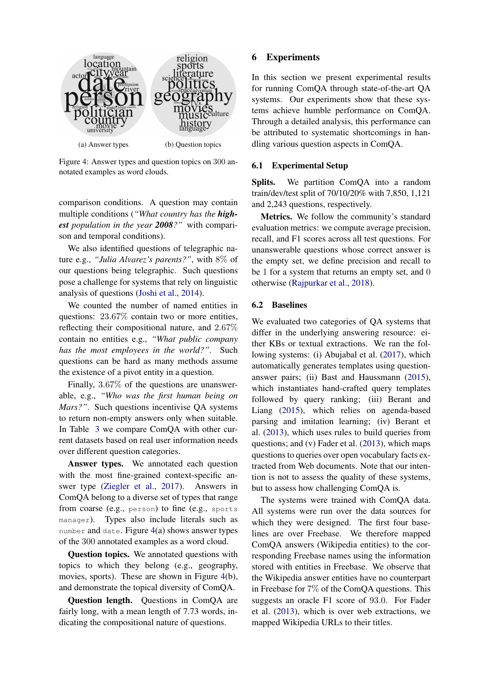<span id="page-6-0"></span>

Figure 4: Answer types and question topics on 300 annotated examples as word clouds.

comparison conditions. A question may contain multiple conditions (*"What country has the highest population in the year 2008?"* with comparison and temporal conditions).

We also identified questions of telegraphic nature e.g., *"Julia Alvarez's parents?"*, with 8% of our questions being telegraphic. Such questions pose a challenge for systems that rely on linguistic analysis of questions [\(Joshi et al.,](#page-9-24) [2014\)](#page-9-24).

We counted the number of named entities in questions: 23.67% contain two or more entities, reflecting their compositional nature, and 2.67% contain no entities e.g., *"What public company has the most employees in the world?"*. Such questions can be hard as many methods assume the existence of a pivot entity in a question.

Finally, 3.67% of the questions are unanswerable, e.g., *"Who was the first human being on Mars?"*. Such questions incentivise QA systems to return non-empty answers only when suitable. In Table [3](#page-7-0) we compare ComQA with other current datasets based on real user information needs over different question categories.

Answer types. We annotated each question with the most fine-grained context-specific answer type [\(Ziegler et al.,](#page-10-13) [2017\)](#page-10-13). Answers in ComQA belong to a diverse set of types that range from coarse (e.g., person) to fine (e.g., sports manager). Types also include literals such as number and date. Figure  $4(a)$  $4(a)$  shows answer types of the 300 annotated examples as a word cloud.

Question topics. We annotated questions with topics to which they belong (e.g., geography, movies, sports). These are shown in Figure [4\(](#page-6-0)b), and demonstrate the topical diversity of ComQA.

Question length. Questions in ComQA are fairly long, with a mean length of 7.73 words, indicating the compositional nature of questions.

## 6 Experiments

In this section we present experimental results for running ComQA through state-of-the-art QA systems. Our experiments show that these systems achieve humble performance on ComQA. Through a detailed analysis, this performance can be attributed to systematic shortcomings in handling various question aspects in ComQA.

## 6.1 Experimental Setup

Splits. We partition ComQA into a random train/dev/test split of 70/10/20% with 7,850, 1,121 and 2,243 questions, respectively.

Metrics. We follow the community's standard evaluation metrics: we compute average precision, recall, and F1 scores across all test questions. For unanswerable questions whose correct answer is the empty set, we define precision and recall to be 1 for a system that returns an empty set, and 0 otherwise [\(Rajpurkar et al.,](#page-9-21) [2018\)](#page-9-21).

## 6.2 Baselines

We evaluated two categories of QA systems that differ in the underlying answering resource: either KBs or textual extractions. We ran the following systems: (i) Abujabal et al. [\(2017\)](#page-8-6), which automatically generates templates using questionanswer pairs; (ii) Bast and Haussmann [\(2015\)](#page-8-5), which instantiates hand-crafted query templates followed by query ranking; (iii) Berant and Liang [\(2015\)](#page-8-7), which relies on agenda-based parsing and imitation learning; (iv) Berant et al. [\(2013\)](#page-8-1), which uses rules to build queries from questions; and (v) Fader et al. [\(2013\)](#page-9-3), which maps questions to queries over open vocabulary facts extracted from Web documents. Note that our intention is not to assess the quality of these systems, but to assess how challenging ComQA is.

The systems were trained with ComQA data. All systems were run over the data sources for which they were designed. The first four baselines are over Freebase. We therefore mapped ComQA answers (Wikipedia entities) to the corresponding Freebase names using the information stored with entities in Freebase. We observe that the Wikipedia answer entities have no counterpart in Freebase for 7% of the ComQA questions. This suggests an oracle F1 score of 93.0. For Fader et al. [\(2013\)](#page-9-3), which is over web extractions, we mapped Wikipedia URLs to their titles.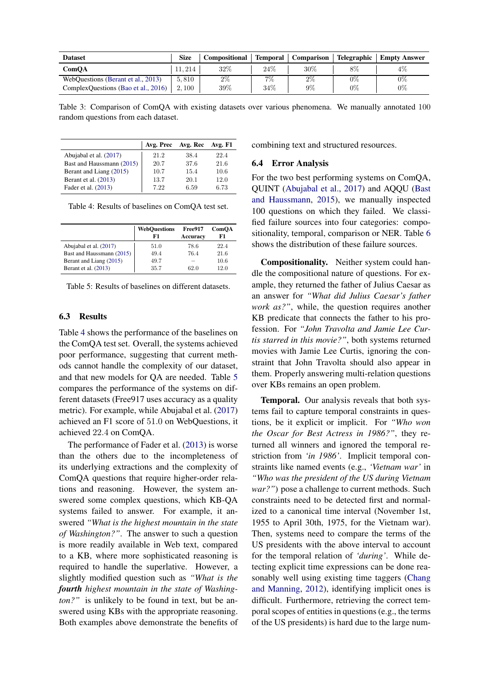<span id="page-7-0"></span>

| <b>Dataset</b>                              | <b>Size</b> | <b>Compositional</b> | Temporal | <b>Comparison</b> |       | Telegraphic   Empty Answer |
|---------------------------------------------|-------------|----------------------|----------|-------------------|-------|----------------------------|
| ComOA                                       | 11, 214     | $32\%$               | 24\%     | 30%               | 8%    | 4%                         |
| WebOuestions (Berant et al., 2013)          | 5.810       | $2\%$                | 7%       | $2\%$             | $0\%$ | $0\%$                      |
| ComplexQuestions (Bao et al., 2016) $\vert$ | 2.100       | $39\%$               | 34%      | $9\%$             | $0\%$ | 0%                         |

Table 3: Comparison of ComQA with existing datasets over various phenomena. We manually annotated 100 random questions from each dataset.

<span id="page-7-1"></span>

|                           |      | Avg. Prec Avg. Rec Avg. F1 |      |
|---------------------------|------|----------------------------|------|
| Abujabal et al. (2017)    | 21.2 | 38.4                       | 22.4 |
| Bast and Haussmann (2015) | 20.7 | 37.6                       | 21.6 |
| Berant and Liang (2015)   | 10.7 | 15.4                       | 10.6 |
| Berant et al. (2013)      | 13.7 | 20.1                       | 12.0 |
| Fader et al. (2013)       | 7.22 | 6.59                       | 6.73 |

Table 4: Results of baselines on ComQA test set.

<span id="page-7-2"></span>

|                           | WebOuestions<br>F1 | Free917<br><b>Accuracy</b> | <b>ComOA</b><br>F1 |
|---------------------------|--------------------|----------------------------|--------------------|
| Abujabal et al. (2017)    | 51.0               | 78.6                       | 22.4               |
| Bast and Haussmann (2015) | 49.4               | 76.4                       | 21.6               |
| Berant and Liang (2015)   | 49.7               |                            | 10.6               |
| Berant et al. (2013)      | 35.7               | 62.0                       | 12.0               |

Table 5: Results of baselines on different datasets.

#### 6.3 Results

Table [4](#page-7-1) shows the performance of the baselines on the ComQA test set. Overall, the systems achieved poor performance, suggesting that current methods cannot handle the complexity of our dataset, and that new models for QA are needed. Table [5](#page-7-2) compares the performance of the systems on different datasets (Free917 uses accuracy as a quality metric). For example, while Abujabal et al. [\(2017\)](#page-8-6) achieved an F1 score of 51.0 on WebQuestions, it achieved 22.4 on ComQA.

The performance of Fader et al. [\(2013\)](#page-9-3) is worse than the others due to the incompleteness of its underlying extractions and the complexity of ComQA questions that require higher-order relations and reasoning. However, the system answered some complex questions, which KB-QA systems failed to answer. For example, it answered *"What is the highest mountain in the state of Washington?"*. The answer to such a question is more readily available in Web text, compared to a KB, where more sophisticated reasoning is required to handle the superlative. However, a slightly modified question such as *"What is the fourth highest mountain in the state of Washington?"* is unlikely to be found in text, but be answered using KBs with the appropriate reasoning. Both examples above demonstrate the benefits of combining text and structured resources.

#### 6.4 Error Analysis

For the two best performing systems on ComQA, QUINT [\(Abujabal et al.,](#page-8-6) [2017\)](#page-8-6) and AQQU [\(Bast](#page-8-5) [and Haussmann,](#page-8-5) [2015\)](#page-8-5), we manually inspected 100 questions on which they failed. We classified failure sources into four categories: compositionality, temporal, comparison or NER. Table [6](#page-8-8) shows the distribution of these failure sources.

Compositionality. Neither system could handle the compositional nature of questions. For example, they returned the father of Julius Caesar as an answer for *"What did Julius Caesar's father work as?"*, while, the question requires another KB predicate that connects the father to his profession. For *"John Travolta and Jamie Lee Curtis starred in this movie?"*, both systems returned movies with Jamie Lee Curtis, ignoring the constraint that John Travolta should also appear in them. Properly answering multi-relation questions over KBs remains an open problem.

Temporal. Our analysis reveals that both systems fail to capture temporal constraints in questions, be it explicit or implicit. For *"Who won the Oscar for Best Actress in 1986?"*, they returned all winners and ignored the temporal restriction from *'in 1986'*. Implicit temporal constraints like named events (e.g., *'Vietnam war'* in *"Who was the president of the US during Vietnam war?"*) pose a challenge to current methods. Such constraints need to be detected first and normalized to a canonical time interval (November 1st, 1955 to April 30th, 1975, for the Vietnam war). Then, systems need to compare the terms of the US presidents with the above interval to account for the temporal relation of *'during'*. While detecting explicit time expressions can be done reasonably well using existing time taggers [\(Chang](#page-9-26) [and Manning,](#page-9-26) [2012\)](#page-9-26), identifying implicit ones is difficult. Furthermore, retrieving the correct temporal scopes of entities in questions (e.g., the terms of the US presidents) is hard due to the large num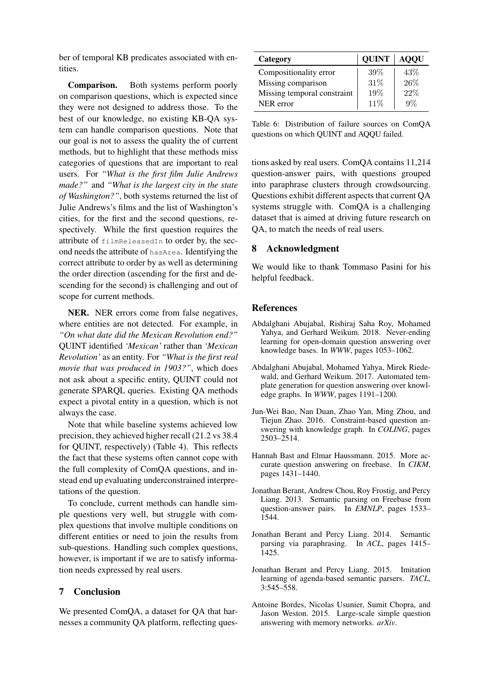ber of temporal KB predicates associated with entities.

Comparison. Both systems perform poorly on comparison questions, which is expected since they were not designed to address those. To the best of our knowledge, no existing KB-QA system can handle comparison questions. Note that our goal is not to assess the quality the of current methods, but to highlight that these methods miss categories of questions that are important to real users. For *"What is the first film Julie Andrews made?"* and *"What is the largest city in the state of Washington?"*, both systems returned the list of Julie Andrews's films and the list of Washington's cities, for the first and the second questions, respectively. While the first question requires the attribute of filmReleasedIn to order by, the second needs the attribute of hasArea. Identifying the correct attribute to order by as well as determining the order direction (ascending for the first and descending for the second) is challenging and out of scope for current methods.

NER. NER errors come from false negatives, where entities are not detected. For example, in *"On what date did the Mexican Revolution end?"* QUINT identified *'Mexican'* rather than *'Mexican Revolution'* as an entity. For *"What is the first real movie that was produced in 1903?"*, which does not ask about a specific entity, QUINT could not generate SPARQL queries. Existing QA methods expect a pivotal entity in a question, which is not always the case.

Note that while baseline systems achieved low precision, they achieved higher recall (21.2 vs 38.4 for QUINT, respectively) (Table 4). This reflects the fact that these systems often cannot cope with the full complexity of ComQA questions, and instead end up evaluating underconstrained interpretations of the question.

To conclude, current methods can handle simple questions very well, but struggle with complex questions that involve multiple conditions on different entities or need to join the results from sub-questions. Handling such complex questions, however, is important if we are to satisfy information needs expressed by real users.

# 7 Conclusion

We presented ComQA, a dataset for QA that harnesses a community QA platform, reflecting ques-

<span id="page-8-8"></span>

| Category                    | <b>QUINT</b> | <b>AOOU</b> |
|-----------------------------|--------------|-------------|
| Compositionality error      | 39%          | 43\%        |
| Missing comparison          | 31\%         | 26%         |
| Missing temporal constraint | 19%          | 22%         |
| NER error                   | 11%          | $Q\%$       |

Table 6: Distribution of failure sources on ComQA questions on which QUINT and AQQU failed.

tions asked by real users. ComQA contains 11,214 question-answer pairs, with questions grouped into paraphrase clusters through crowdsourcing. Questions exhibit different aspects that current QA systems struggle with. ComQA is a challenging dataset that is aimed at driving future research on QA, to match the needs of real users.

# 8 Acknowledgment

We would like to thank Tommaso Pasini for his helpful feedback.

## References

- <span id="page-8-3"></span>Abdalghani Abujabal, Rishiraj Saha Roy, Mohamed Yahya, and Gerhard Weikum. 2018. Never-ending learning for open-domain question answering over knowledge bases. In *WWW*, pages 1053–1062.
- <span id="page-8-6"></span>Abdalghani Abujabal, Mohamed Yahya, Mirek Riedewald, and Gerhard Weikum. 2017. Automated template generation for question answering over knowledge graphs. In *WWW*, pages 1191–1200.
- <span id="page-8-2"></span>Jun-Wei Bao, Nan Duan, Zhao Yan, Ming Zhou, and Tiejun Zhao. 2016. Constraint-based question answering with knowledge graph. In *COLING*, pages 2503–2514.
- <span id="page-8-5"></span>Hannah Bast and Elmar Haussmann. 2015. More accurate question answering on freebase. In *CIKM*, pages 1431–1440.
- <span id="page-8-1"></span>Jonathan Berant, Andrew Chou, Roy Frostig, and Percy Liang. 2013. Semantic parsing on Freebase from question-answer pairs. In *EMNLP*, pages 1533– 1544.
- <span id="page-8-4"></span>Jonathan Berant and Percy Liang. 2014. Semantic parsing via paraphrasing. In *ACL*, pages 1415– 1425.
- <span id="page-8-7"></span>Jonathan Berant and Percy Liang. 2015. Imitation learning of agenda-based semantic parsers. *TACL*, 3:545–558.
- <span id="page-8-0"></span>Antoine Bordes, Nicolas Usunier, Sumit Chopra, and Jason Weston. 2015. Large-scale simple question answering with memory networks. *arXiv*.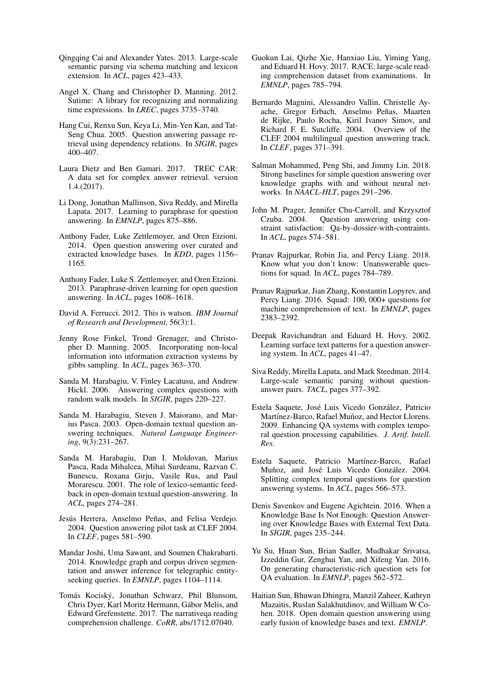- <span id="page-9-0"></span>Qingqing Cai and Alexander Yates. 2013. Large-scale semantic parsing via schema matching and lexicon extension. In *ACL*, pages 423–433.
- <span id="page-9-26"></span>Angel X. Chang and Christopher D. Manning. 2012. Sutime: A library for recognizing and normalizing time expressions. In *LREC*, pages 3735–3740.
- <span id="page-9-6"></span>Hang Cui, Renxu Sun, Keya Li, Min-Yen Kan, and Tat-Seng Chua. 2005. Question answering passage retrieval using dependency relations. In *SIGIR*, pages 400–407.
- <span id="page-9-11"></span>Laura Dietz and Ben Gamari. 2017. TREC CAR: A data set for complex answer retrieval. version 1.4.(2017).
- <span id="page-9-2"></span>Li Dong, Jonathan Mallinson, Siva Reddy, and Mirella Lapata. 2017. Learning to paraphrase for question answering. In *EMNLP*, pages 875–886.
- <span id="page-9-25"></span>Anthony Fader, Luke Zettlemoyer, and Oren Etzioni. 2014. Open question answering over curated and extracted knowledge bases. In *KDD*, pages 1156– 1165.
- <span id="page-9-3"></span>Anthony Fader, Luke S. Zettlemoyer, and Oren Etzioni. 2013. Paraphrase-driven learning for open question answering. In *ACL*, pages 1608–1618.
- <span id="page-9-14"></span>David A. Ferrucci. 2012. This is watson. *IBM Journal of Research and Development*, 56(3):1.
- <span id="page-9-27"></span>Jenny Rose Finkel, Trond Grenager, and Christopher D. Manning. 2005. Incorporating non-local information into information extraction systems by gibbs sampling. In *ACL*, pages 363–370.
- <span id="page-9-15"></span>Sanda M. Harabagiu, V. Finley Lacatusu, and Andrew Hickl. 2006. Answering complex questions with random walk models. In *SIGIR*, pages 220–227.
- <span id="page-9-8"></span>Sanda M. Harabagiu, Steven J. Maiorano, and Marius Pasca. 2003. Open-domain textual question answering techniques. *Natural Language Engineering*, 9(3):231–267.
- <span id="page-9-7"></span>Sanda M. Harabagiu, Dan I. Moldovan, Marius Pasca, Rada Mihalcea, Mihai Surdeanu, Razvan C. Bunescu, Roxana Girju, Vasile Rus, and Paul Morarescu. 2001. The role of lexico-semantic feedback in open-domain textual question-answering. In *ACL*, pages 274–281.
- <span id="page-9-13"></span>Jesús Herrera, Anselmo Peñas, and Felisa Verdejo. 2004. Question answering pilot task at CLEF 2004. In *CLEF*, pages 581–590.
- <span id="page-9-24"></span>Mandar Joshi, Uma Sawant, and Soumen Chakrabarti. 2014. Knowledge graph and corpus driven segmentation and answer inference for telegraphic entityseeking queries. In *EMNLP*, pages 1104–1114.
- <span id="page-9-18"></span>Tomás Kociský, Jonathan Schwarz, Phil Blunsom, Chris Dyer, Karl Moritz Hermann, Gabor Melis, and ´ Edward Grefenstette. 2017. The narrativeqa reading comprehension challenge. *CoRR*, abs/1712.07040.
- <span id="page-9-19"></span>Guokun Lai, Qizhe Xie, Hanxiao Liu, Yiming Yang, and Eduard H. Hovy. 2017. RACE: large-scale reading comprehension dataset from examinations. In *EMNLP*, pages 785–794.
- <span id="page-9-12"></span>Bernardo Magnini, Alessandro Vallin, Christelle Ayache, Gregor Erbach, Anselmo Peñas, Maarten de Rijke, Paulo Rocha, Kiril Ivanov Simov, and Richard F. E. Sutcliffe. 2004. Overview of the CLEF 2004 multilingual question answering track. In *CLEF*, pages 371–391.
- <span id="page-9-22"></span>Salman Mohammed, Peng Shi, and Jimmy Lin. 2018. Strong baselines for simple question answering over knowledge graphs with and without neural networks. In *NAACL-HLT*, pages 291–296.
- <span id="page-9-16"></span>John M. Prager, Jennifer Chu-Carroll, and Krzysztof Czuba. 2004. Question answering using constraint satisfaction: Qa-by-dossier-with-contraints. In *ACL*, pages 574–581.
- <span id="page-9-21"></span>Pranav Rajpurkar, Robin Jia, and Percy Liang. 2018. Know what you don't know: Unanswerable questions for squad. In *ACL*, pages 784–789.
- <span id="page-9-20"></span>Pranav Rajpurkar, Jian Zhang, Konstantin Lopyrev, and Percy Liang. 2016. Squad: 100, 000+ questions for machine comprehension of text. In *EMNLP*, pages 2383–2392.
- <span id="page-9-9"></span>Deepak Ravichandran and Eduard H. Hovy. 2002. Learning surface text patterns for a question answering system. In *ACL*, pages 41–47.
- <span id="page-9-23"></span>Siva Reddy, Mirella Lapata, and Mark Steedman. 2014. Large-scale semantic parsing without questionanswer pairs. *TACL*, pages 377–392.
- <span id="page-9-10"></span>Estela Saquete, José Luis Vicedo González, Patricio Martínez-Barco, Rafael Muñoz, and Hector Llorens. 2009. Enhancing QA systems with complex temporal question processing capabilities. *J. Artif. Intell. Res.*
- <span id="page-9-17"></span>Estela Saquete, Patricio Martínez-Barco, Rafael Muñoz, and José Luis Vicedo González. 2004. Splitting complex temporal questions for question answering systems. In *ACL*, pages 566–573.
- <span id="page-9-4"></span>Denis Savenkov and Eugene Agichtein. 2016. When a Knowledge Base Is Not Enough: Question Answering over Knowledge Bases with External Text Data. In *SIGIR*, pages 235–244.
- <span id="page-9-1"></span>Yu Su, Huan Sun, Brian Sadler, Mudhakar Srivatsa, Izzeddin Gur, Zenghui Yan, and Xifeng Yan. 2016. On generating characteristic-rich question sets for QA evaluation. In *EMNLP*, pages 562–572.
- <span id="page-9-5"></span>Haitian Sun, Bhuwan Dhingra, Manzil Zaheer, Kathryn Mazaitis, Ruslan Salakhutdinov, and William W Cohen. 2018. Open domain question answering using early fusion of knowledge bases and text. *EMNLP*.